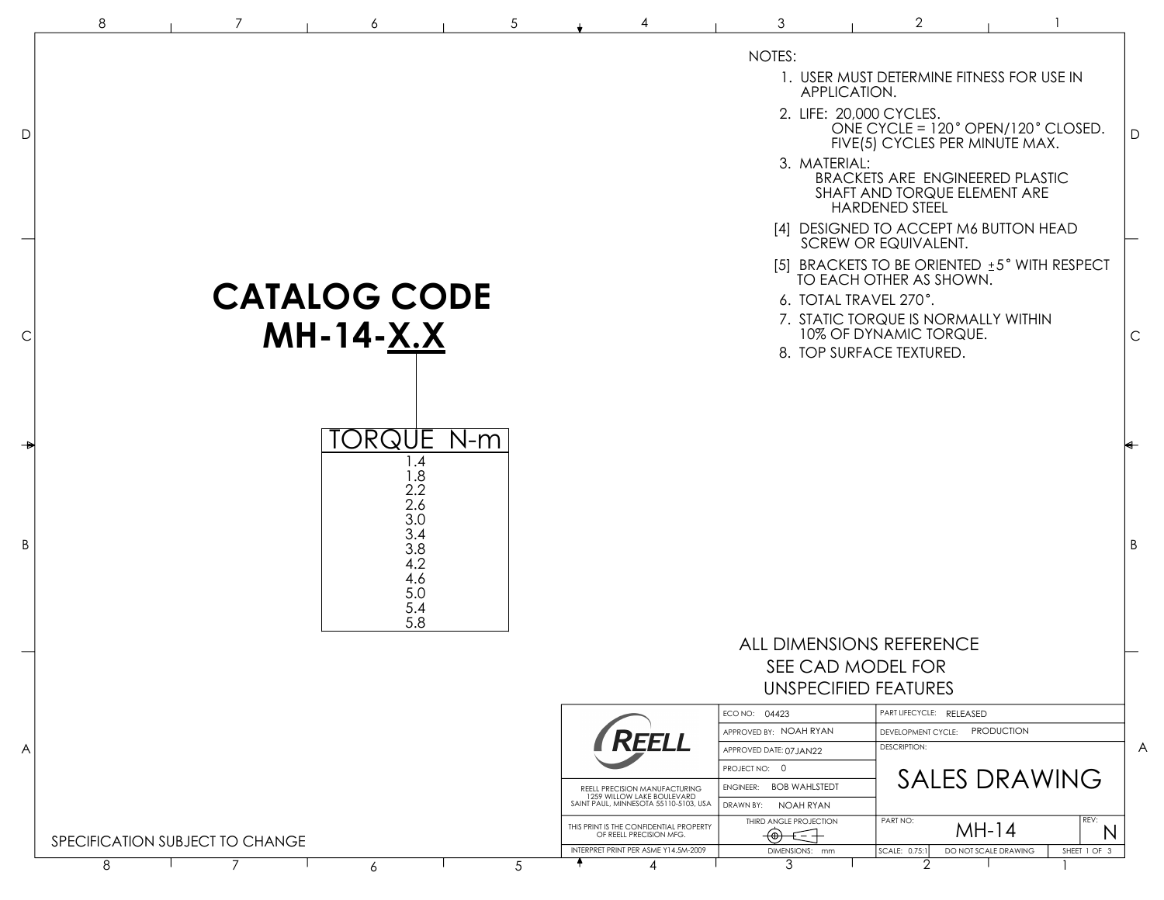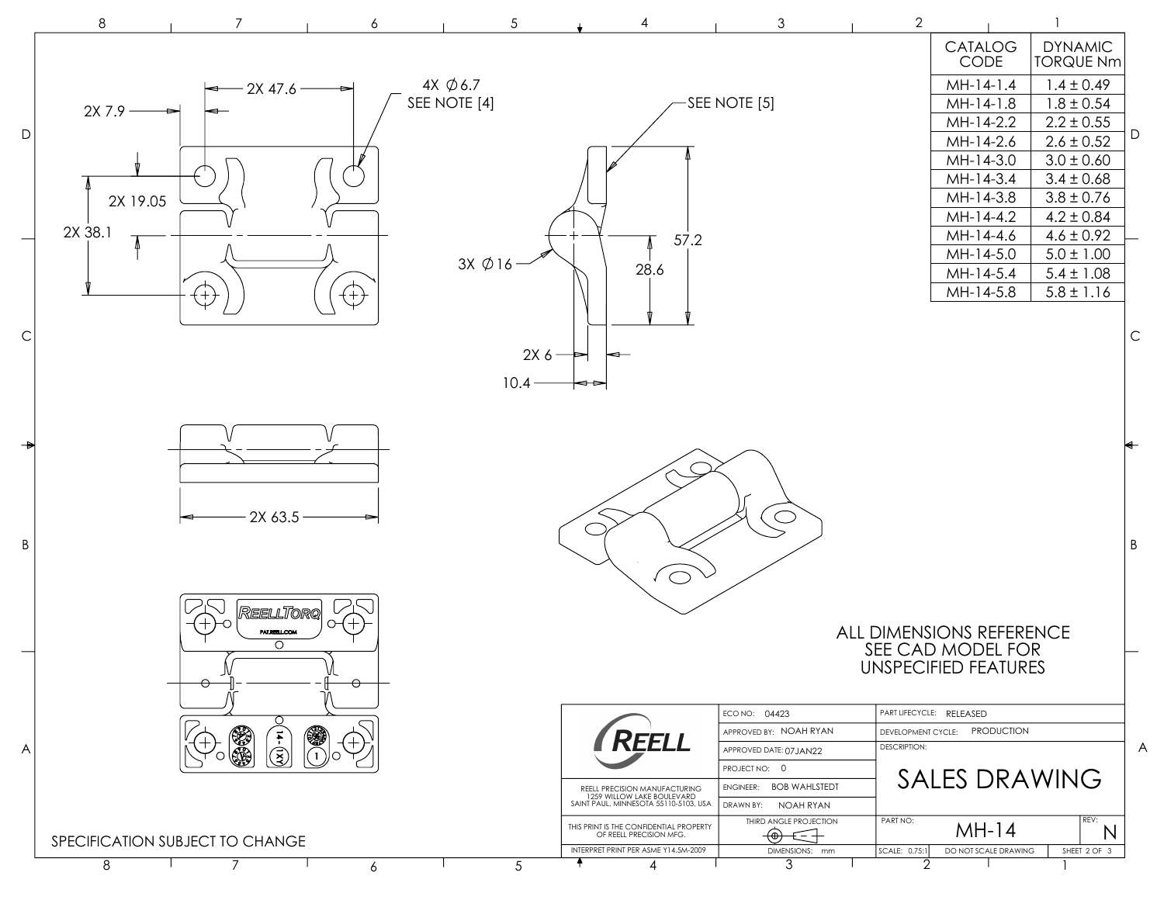